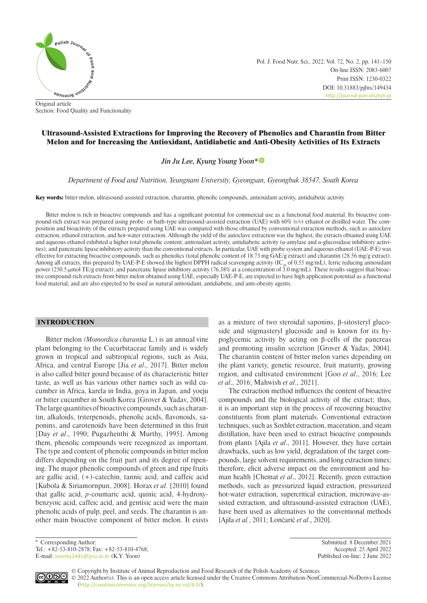

Pol. J. Food Nutr. Sci., 2022, Vol. 72, No. 2, pp. 141–150 On-line ISSN: 2083-6007 Print ISSN: 1230-0322 DOI: 10.31883/pjfns/149434 <http://journal.pan.olsztyn.pl>

Original article Section: Food Quality and Functionality

# Ultrasound-Assisted Extractions for Improving the Recovery of Phenolics and Charantin from Bitter Melon and for Increasing the Antioxidant, Antidiabetic and Anti-Obesity Activities of Its Extracts

*Jin Ju Lee, Kyung Young Yoon\**

*Department of Food and Nutrition, Yeungnam University, Gyeongsan, Gyeongbuk 38547, South Korea*

Key words: bitter melon, ultrasound-assisted extraction, charantin, phenolic compounds, antioxidant activity, antidiabetic activity

Bitter melon is rich in bioactive compounds and has a significant potential for commercial use as a functional food material. Its bioactive compound-rich extract was prepared using probe- or bath-type ultrasound-assisted extraction (UAE) with 60% (*v/v*) ethanol or distilled water. The composition and bioactivity of the extracts prepared using UAE was compared with those obtained by conventional extraction methods, such as autoclave extraction, ethanol extraction, and hot-water extraction. Although the yield of the autoclave extraction was the highest, the extracts obtained using UAE and aqueous ethanol exhibited a higher total phenolic content, antioxidant activity, antidiabetic activity (α-amylase and α-glucosidase inhibitory activities), and pancreatic lipase inhibitory activity than the conventional extracts. In particular, UAE with probe system and aqueous ethanol (UAE-P-E) was effective for extracting bioactive compounds, such as phenolics (total phenolic content of 18.73 mg GAE/g extract) and charantin (28.56 mg/g extract). Among all extracts, this prepared by UAE-P-E showed the highest DPPH radical scavenging activity (IC<sub>50</sub> of 0.55 mg/mL), ferric reducing antioxidant power (250.5  $\mu$ mol TE/g extract), and pancreatic lipase inhibitory activity (76.38% at a concentration of 3.0 mg/mL). These results suggest that bioactive compound-rich extracts from bitter melon obtained using UAE, especially UAE-P-E, are expected to have high application potential as a functional food material, and are also expected to be used as natural antioxidant, antidiabetic, and anti-obesity agents.

## INTRODUCTION

Bitter melon *(Momordica charantia* L.) is an annual vine plant belonging to the Cucurbitaceae family and is widely grown in tropical and subtropical regions, such as Asia, Africa, and central Europe [Jia *et al*., 2017]. Bitter melon is also called bitter gourd because of its characteristic bitter taste, as well as has various other names such as wild cucumber in Africa, karela in India, goya in Japan, and yoeju or bitter cucumber in South Korea [Grover & Yadav, 2004]. The large quantities of bioactive compounds, such as charantin, alkaloids, triterpenoids, phenolic acids, flavonoids, saponins, and carotenoids have been determined in this fruit [Day *et al*., 1990; Pugazhenthi & Murthy, 1995]. Among them, phenolic compounds were recognized as important. The type and content of phenolic compounds in bitter melon differs depending on the fruit part and its degree of ripening. The major phenolic compounds of green and ripe fruits are gallic acid, (+)-catechin, tannic acid, and caffeic acid [Kubola & Siriamornpun, 2008]. Horax *et al.* [2010] found that gallic acid, *p*-coumaric acid, quinic acid, 4-hydroxybenzyoic acid, caffeic acid, and gentisic acid were the main phenolic acids of pulp, peel, and seeds. The charantin is another main bioactive component of bitter melon. It exists as a mixture of two steroidal saponins, β-sitosteryl glucoside and stigmasteryl glucoside and is known for its hypoglycemic activity by acting on β-cells of the pancreas and promoting insulin secretion [Grover & Yadav, 2004]. The charantin content of bitter melon varies depending on the plant variety, genetic resource, fruit maturity, growing region, and cultivated environment [Goo *et al*., 2016; Lee *et al*., 2016; Mahwish *et al*., 2021].

The extraction method influences the content of bioactive compounds and the biological activity of the extract; thus, it is an important step in the process of recovering bioactive constituents from plant materials. Conventional extraction techniques, such as Soxhlet extraction, maceration, and steam distillation, have been used to extract bioactive compounds from plants [Ajila *et al*., 2011]. However, they have certain drawbacks, such as low yield, degradation of the target compounds, large solvent requirements, and long extraction times; therefore, elicit adverse impact on the environment and human health [Chemat *et al*., 2012]. Recently, green extraction methods, such as pressurized liquid extraction, pressurized hot-water extraction, supercritical extraction, microwave-assisted extraction, and ultrasound-assisted extraction (UAE), have been used as alternatives to the conventional methods [Ajila *et al.*, 2011; Lončarić *et al*., 2020].

Tel.: +82-53-810-2878; Fax: +82-53-810-4768; Accepted: 25 April 2022 E-mail: [yoonky2441@ynu.ac.kr](mailto:yoonky2441@ynu.ac.kr) (K.Y. Yoon) Published on-line: 2 June 2022

\* Corresponding Author: Submitted: 8 December 2021



© Copyright by Institute of Animal Reproduction and Food Research of the Polish Academy of Sciences © 2022 Author(s). This is an open access article licensed under the Creative Commons Attribution-NonCommercial-NoDerivs License ([http://creativecommons.org/licenses/by-nc-nd/4.0/](http://creativecommons.org/licenses/by-nc-nd/3.0/)).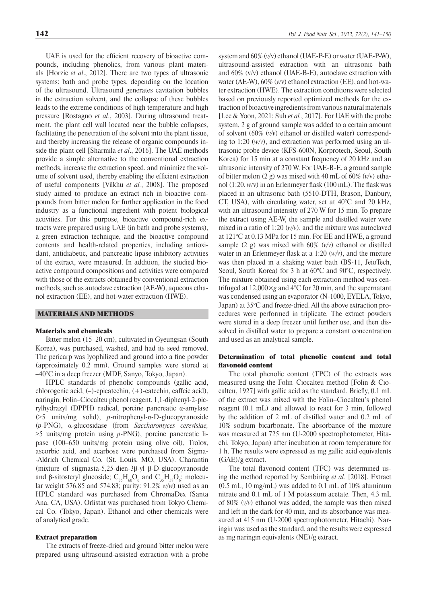UAE is used for the efficient recovery of bioactive compounds, including phenolics, from various plant materials [Horzic *et al*., 2012]. There are two types of ultrasonic systems: bath and probe types, depending on the location of the ultrasound. Ultrasound generates cavitation bubbles in the extraction solvent, and the collapse of these bubbles leads to the extreme conditions of high temperature and high pressure [Rostagno *et al*., 2003]. During ultrasound treatment, the plant cell wall located near the bubble collapses, facilitating the penetration of the solvent into the plant tissue, and thereby increasing the release of organic compounds inside the plant cell [Sharmila *et al*., 2016]. The UAE methods provide a simple alternative to the conventional extraction methods, increase the extraction speed, and minimize the volume of solvent used, thereby enabling the efficient extraction of useful components [Vilkhu *et al.*, 2008]. The proposed study aimed to produce an extract rich in bioactive compounds from bitter melon for further application in the food industry as a functional ingredient with potent biological activities. For this purpose, bioactive compound-rich extracts were prepared using UAE (in bath and probe systems), a green extraction technique, and the bioactive compound contents and health-related properties, including antioxidant, antidiabetic, and pancreatic lipase inhibitory activities of the extract, were measured. In addition, the studied bioactive compound compositions and activities were compared with those of the extracts obtained by conventional extraction methods, such as autoclave extraction (AE-W), aqueous ethanol extraction (EE), and hot-water extraction (HWE).

## MATERIALS AND METHODS

#### Materials and chemicals

Bitter melon (15–20 cm), cultivated in Gyeungsan (South Korea), was purchased, washed, and had its seed removed. The pericarp was lyophilized and ground into a fine powder (approximately 0.2 mm). Ground samples were stored at –40°C in a deep freezer (MDF, Sanyo, Tokyo, Japan).

HPLC standards of phenolic compounds (gallic acid, chlorogenic acid, (–)-epicatechin, (+)-catechin, caffeic acid), naringin, Folin–Ciocalteu phenol reagent, 1,1-diphenyl-2-picrylhydrazyl (DPPH) radical, porcine pancreatic α-amylase (≥5 units/mg solid), *p*-nitrophenyl-α-D-glucopyranoside (*p*-PNG), α-glucosidase (from *Saccharomyces cerevisiae,* ≥5 units/mg protein using *p*-PNG), porcine pancreatic lipase (100–650 units/mg protein using olive oil), Trolox, ascorbic acid, and acarbose were purchased from Sigma- -Aldrich Chemical Co. (St. Louis, MO, USA). Charantin (mixture of stigmasta-5,25-dien-3β-yl β-D-glucopyranoside and β-sitosteryl glucoside;  $C_{35}H_{60}O_6$  and  $C_{35}H_{58}O_6$ ; molecular weight 576.85 and 574.83; purity: 91.2% *w/w*) used as an HPLC standard was purchased from ChromaDex (Santa Ana, CA, USA). Orlistat was purchased from Tokyo Chemical Co. (Tokyo, Japan). Ethanol and other chemicals were of analytical grade.

#### Extract preparation

The extracts of freeze-dried and ground bitter melon were prepared using ultrasound-assisted extraction with a probe

system and 60% (*v/*v) ethanol (UAE-P-E) or water (UAE-P-W), ultrasound-assisted extraction with an ultrasonic bath and 60% (v/v) ethanol (UAE-B-E), autoclave extraction with water (AE-W), 60% (*v/*v) ethanol extraction (EE), and hot-water extraction (HWE). The extraction conditions were selected based on previously reported optimized methods for the extraction of bioactive ingredients from various natural materials [Lee & Yoon, 2021; Suh *et al.*, 2017]. For UAE with the probe system, 2 g of ground sample was added to a certain amount of solvent (60% (*v/v*) ethanol or distilled water) corresponding to 1:20 (*w/v*), and extraction was performed using an ultrasonic probe device (KFS-600N, Korprotech, Seoul, South Korea) for 15 min at a constant frequency of 20 kHz and an ultrasonic intensity of 270 W. For UAE-B-E, a ground sample of bitter melon (2 g) was mixed with 40 mL of 60% (*v/*v) ethanol (1:20, *w/*v) in an Erlenmeyer flask (100 mL). The flask was placed in an ultrasonic bath (5510-DTH, Brason, Danbury, CT, USA), with circulating water, set at 40°C and 20 kHz, with an ultrasound intensity of 270 W for 15 min. To prepare the extract using AE-W, the sample and distilled water were mixed in a ratio of 1:20 (*w/v*), and the mixture was autoclaved at 121°C at 0.13 MPa for 15 min. For EE and HWE, a ground sample (2 g) was mixed with 60% (*v/v*) ethanol or distilled water in an Erlenmeyer flask at a 1:20 (*w/v*), and the mixture was then placed in a shaking water bath (BS-11, JeioTech, Seoul, South Korea) for 3 h at 60°C and 90°C, respectively. The mixture obtained using each extraction method was centrifuged at 12,000×*g* and 4°C for 20 min, and the supernatant was condensed using an evaporator (N-1000, EYELA, Tokyo, Japan) at 35°C and freeze-dried. All the above extraction procedures were performed in triplicate. The extract powders were stored in a deep freezer until further use, and then dissolved in distilled water to prepare a constant concentration and used as an analytical sample.

## Determination of total phenolic content and total flavonoid content

The total phenolic content (TPC) of the extracts was measured using the Folin–Ciocalteu method [Folin & Ciocalteu, 1927] with gallic acid as the standard. Briefly, 0.1 mL of the extract was mixed with the Folin–Ciocalteu's phenol reagent (0.1 mL) and allowed to react for 3 min, followed by the addition of 2 mL of distilled water and 0.2 mL of 10% sodium bicarbonate. The absorbance of the mixture was measured at 725 nm (U-2000 spectrophotometer, Hitachi, Tokyo, Japan) after incubation at room temperature for 1 h. The results were expressed as mg gallic acid equivalents (GAE)/g extract.

The total flavonoid content (TFC) was determined using the method reported by Sembiring *et al.* [2018]. Extract (0.5 mL, 10 mg/mL) was added to 0.1 mL of 10% aluminum nitrate and 0.1 mL of 1 M potassium acetate. Then, 4.3 mL of 80% (*v/v*) ethanol was added, the sample was then mixed and left in the dark for 40 min, and its absorbance was measured at 415 nm (U-2000 spectrophotometer, Hitachi). Naringin was used as the standard, and the results were expressed as mg naringin equivalents (NE)/g extract.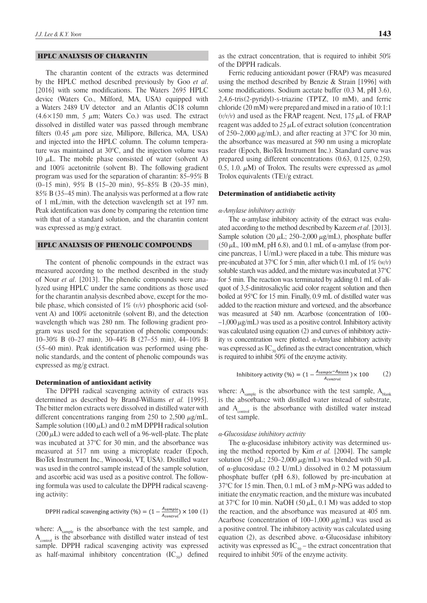## HPLC ANALYSIS OF CHARANTIN

The charantin content of the extracts was determined by the HPLC method described previously by Goo *et al*. [2016] with some modifications. The Waters 2695 HPLC device (Waters Co., Milford, MA, USA) equipped with a Waters 2489 UV detector and an Atlantis dC18 column  $(4.6 \times 150$  mm, 5  $\mu$ m; Waters Co.) was used. The extract dissolved in distilled water was passed through membrane filters  $(0.45 \mu m)$  pore size, Millipore, Billerica, MA, USA) and injected into the HPLC column. The column temperature was maintained at 30°C, and the injection volume was 10  $\mu$ L. The mobile phase consisted of water (solvent A) and 100% acetonitrile (solvent B). The following gradient program was used for the separation of charantin: 85–95% B (0–15 min), 95% B (15–20 min), 95–85% B (20–35 min), 85% B (35–45 min). The analysis was performed at a flow rate of 1 mL/min, with the detection wavelength set at 197 nm. Peak identification was done by comparing the retention time with that of a standard solution, and the charantin content was expressed as mg/g extract.

### HPLC ANALYSIS OF PHENOLIC COMPOUNDS

The content of phenolic compounds in the extract was measured according to the method described in the study of Nour *et al*. [2013]. The phenolic compounds were analyzed using HPLC under the same conditions as those used for the charantin analysis described above, except for the mobile phase, which consisted of 1% (*v/v*) phosphoric acid (solvent A) and 100% acetonitrile (solvent B), and the detection wavelength which was 280 nm. The following gradient program was used for the separation of phenolic compounds: 10–30% B (0–27 min), 30–44% B (27–55 min), 44–10% B (55–60 min). Peak identification was performed using phenolic standards, and the content of phenolic compounds was expressed as mg/g extract.

#### Determination of antioxidant activity

The DPPH radical scavenging activity of extracts was determined as described by Brand-Williams *et al.* [1995]. The bitter melon extracts were dissolved in distilled water with different concentrations ranging from 250 to 2,500  $\mu$ g/mL. Sample solution (100  $\mu$ L) and 0.2 mM DPPH radical solution  $(200 \,\mu L)$  were added to each well of a 96-well-plate. The plate was incubated at 37°C for 30 min, and the absorbance was measured at 517 nm using a microplate reader (Epoch, BioTek Instrument Inc., Winooski, VT, USA). Distilled water was used in the control sample instead of the sample solution, and ascorbic acid was used as a positive control. The following formula was used to calculate the DPPH radical scavenging activity:

DPPH radical scavenging activity (%) = 
$$
(1 - \frac{A_{sample}}{A_{control}}) \times 100
$$
 (1)

where:  $A_{sample}$  is the absorbance with the test sample, and Acontrol is the absorbance with distilled water instead of test sample. DPPH radical scavenging activity was expressed as half-maximal inhibitory concentration  $(IC_{50})$  defined

Ferric reducing antioxidant power (FRAP) was measured using the method described by Benzie & Strain [1996] with some modifications. Sodium acetate buffer (0.3 M, pH 3.6), 2,4,6-tris(2-pyridyl)-s-triazine (TPTZ, 10 mM), and ferric chloride (20 mM) were prepared and mixed in a ratio of 10:1:1  $(v/v/v)$  and used as the FRAP reagent. Next, 175  $\mu$ L of FRAP reagent was added to  $25 \mu L$  of extract solution (concentration of 250–2,000  $\mu$ g/mL), and after reacting at 37°C for 30 min, the absorbance was measured at 590 nm using a microplate reader (Epoch, BioTek Instrument Inc.). Standard curve was prepared using different concentrations (0.63, 0.125, 0.250, 0.5, 1.0.  $\mu$ M) of Trolox. The results were expressed as  $\mu$ mol Trolox equivalents (TE)/g extract.

#### Determination of antidiabetic activity

### *α-Amylase inhibitory activity*

The  $\alpha$ -amylase inhibitory activity of the extract was evaluated according to the method described by Kazeem *et al*. [2013]. Sample solution (20  $\mu$ L; 250–2,000  $\mu$ g/mL), phosphate buffer (50  $\mu$ L, 100 mM, pH 6.8), and 0.1 mL of  $\alpha$ -amylase (from porcine pancreas, 1 U/mL) were placed in a tube. This mixture was pre-incubated at 37°C for 5 min, after which 0.1 mL of 1% (*w/v*) soluble starch was added, and the mixture was incubated at 37°C for 5 min. The reaction was terminated by adding 0.1 mL of aliquot of 3,5-dinitrosalicylic acid color reagent solution and then boiled at 95°C for 15 min. Finally, 0.9 mL of distilled water was added to the reaction mixture and vortexed, and the absorbance was measured at 540 nm. Acarbose (concentration of 100–  $-1,000 \mu$ g/mL) was used as a positive control. Inhibitory activity was calculated using equation (2) and curves of inhibitory activity *vs* concentration were plotted. α-Amylase inhibitory activity was expressed as  $IC_{50}$  defined as the extract concentration, which is required to inhibit 50% of the enzyme activity.

Inhibitory activity (
$$
\%
$$
) =  $(1 - \frac{A_{sample} - A_{blank}}{A_{control}}) \times 100$  (2)

where:  $A_{\text{sample}}$  is the absorbance with the test sample,  $A_{\text{blank}}$ is the absorbance with distilled water instead of substrate, and  $A_{control}$  is the absorbance with distilled water instead of test sample.

### *α-Glucosidase inhibitory activity*

The α-glucosidase inhibitory activity was determined using the method reported by Kim *et al.* [2004]. The sample solution (50  $\mu$ L; 250–2,000  $\mu$ g/mL) was blended with 50  $\mu$ L of  $\alpha$ -glucosidase (0.2 U/mL) dissolved in 0.2 M potassium phosphate buffer (pH 6.8), followed by pre-incubation at 37°C for 15 min. Then, 0.1 mL of 3 mM *p*-NPG was added to initiate the enzymatic reaction, and the mixture was incubated at 37°C for 10 min. NaOH (50  $\mu$ L, 0.1 M) was added to stop the reaction, and the absorbance was measured at 405 nm. Acarbose (concentration of 100–1,000  $\mu$ g/mL) was used as a positive control. The inhibitory activity was calculated using equation (2), as described above. α-Glucosidase inhibitory activity was expressed as  $IC_{50}$  – the extract concentration that required to inhibit 50% of the enzyme activity.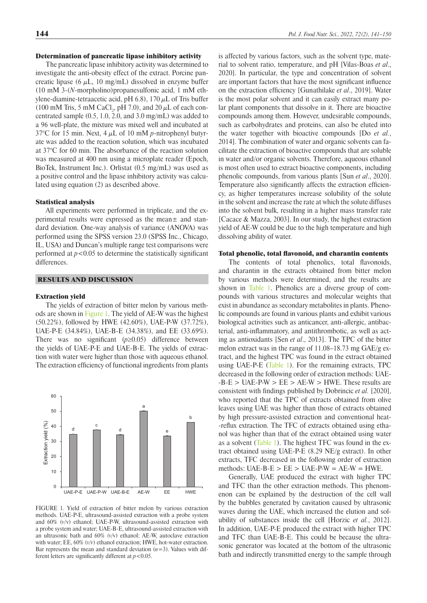## Determination of pancreatic lipase inhibitory activity

The pancreatic lipase inhibitory activity was determined to investigate the anti-obesity effect of the extract. Porcine pancreatic lipase (6  $\mu$ L, 10 mg/mL) dissolved in enzyme buffer (10 mM 3-(*N*-morpholino)propanesulfonic acid, 1 mM ethylene-diamine-tetraacetic acid, pH 6.8),  $170 \mu L$  of Tris buffer (100 mM Tris, 5 mM CaCl<sub>2</sub>, pH 7.0), and 20  $\mu$ L of each concentrated sample (0.5, 1.0, 2.0, and 3.0 mg/mL) was added to a 96 well-plate, the mixture was mixed well and incubated at 37°C for 15 min. Next, 4 μL of 10 mM *p*-nitrophenyl butyrate was added to the reaction solution, which was incubated at 37°C for 60 min. The absorbance of the reaction solution was measured at 400 nm using a microplate reader (Epoch, BioTek, Instrument Inc.). Orlistat (0.5 mg/mL) was used as a positive control and the lipase inhibitory activity was calculated using equation (2) as described above.

#### Statistical analysis

All experiments were performed in triplicate, and the experimental results were expressed as the mean± and standard deviation. One-way analysis of variance (ANOVA) was performed using the SPSS version 23.0 (SPSS Inc., Chicago, IL, USA) and Duncan's multiple range test comparisons were performed at  $p < 0.05$  to determine the statistically significant differences.

## RESULTS AND DISCUSSION

#### Extraction yield

The yields of extraction of bitter melon by various methods are shown in [Figure 1.](#page-3-0) The yield of AE-W was the highest (50.22%), followed by HWE (42.60%), UAE-P-W (37.72%), UAE-P-E (34.84%), UAE-B-E (34.38%), and EE (33.69%). There was no significant (*p*≥0.05) difference between the yields of UAE-P-E and UAE-B-E. The yields of extraction with water were higher than those with aqueous ethanol. The extraction efficiency of functional ingredients from plants

<span id="page-3-0"></span>

FIGURE 1. Yield of extraction of bitter melon by various extraction methods. UAE-P-E, ultrasound-assisted extraction with a probe system and 60% (*v*/v) ethanol; UAE-P-W, ultrasound-assisted extraction with a probe system and water; UAE-B-E, ultrasound-assisted extraction with an ultrasonic bath and 60% *(v/*v) ethanol; AE-W, autoclave extraction with water; EE, 60% (*v/v*) ethanol extraction; HWE, hot-water extraction. Bar represents the mean and standard deviation  $(n=3)$ . Values with different letters are significantly different at *p*<0.05.

is affected by various factors, such as the solvent type, material to solvent ratio, temperature, and pH [Vilas-Boas *et al*., 2020]. In particular, the type and concentration of solvent are important factors that have the most significant influence on the extraction efficiency [Gunathilake *et al*., 2019]. Water is the most polar solvent and it can easily extract many polar plant components that dissolve in it. There are bioactive compounds among them. However, undesirable compounds, such as carbohydrates and proteins, can also be eluted into the water together with bioactive compounds [Do *et al.*, 2014]. The combination of water and organic solvents can facilitate the extraction of bioactive compounds that are soluble in water and/or organic solvents. Therefore, aqueous ethanol is most often used to extract bioactive components, including phenolic compounds, from various plants [Sun *et al*., 2020]. Temperature also significantly affects the extraction efficiency, as higher temperatures increase solubility of the solute in the solvent and increase the rate at which the solute diffuses into the solvent bulk, resulting in a higher mass transfer rate [Cacace & Mazza, 2003]. In our study, the highest extraction yield of AE-W could be due to the high temperature and high dissolving ability of water.

## Total phenolic, total flavonoid, and charantin contents

The contents of total phenolics, total flavonoids, and charantin in the extracts obtained from bitter melon by various methods were determined, and the results are shown in Table 1. Phenolics are a diverse group of compounds with various structures and molecular weights that exist in abundance as secondary metabolites in plants. Phenolic compounds are found in various plants and exhibit various biological activities such as anticancer, anti-allergic, antibacterial, anti-inflammatory, and antithrombotic, as well as acting as antioxidants [Sen *et al*., 2013]. The TPC of the bitter melon extract was in the range of 11.08–18.73 mg GAE/g extract, and the highest TPC was found in the extract obtained using UAE-P-E (Table 1). For the remaining extracts, TPC decreased in the following order of extraction methods: UAE-  $-B-E > UAE-P-W > EE > AE-W > HWE$ . These results are consistent with findings published by Dobrincic *et al.* [2020], who reported that the TPC of extracts obtained from olive leaves using UAE was higher than those of extracts obtained by high pressure-assisted extraction and conventional heat- -reflux extraction. The TFC of extracts obtained using ethanol was higher than that of the extract obtained using water as a solvent [\(Table 1](#page-4-0)). The highest TFC was found in the extract obtained using UAE-P-E (8.29 NE/g extract). In other extracts, TFC decreased in the following order of extraction methods:  $UAE-B-E > EE > UAE-P-W = AE-W = HWE$ .

Generally, UAE produced the extract with higher TPC and TFC than the other extraction methods. This phenomenon can be explained by the destruction of the cell wall by the bubbles generated by cavitation caused by ultrasonic waves during the UAE, which increased the elution and solubility of substances inside the cell [Horzic *et al.*, 2012]. In addition, UAE-P-E produced the extract with higher TPC and TFC than UAE-B-E. This could be because the ultrasonic generator was located at the bottom of the ultrasonic bath and indirectly transmitted energy to the sample through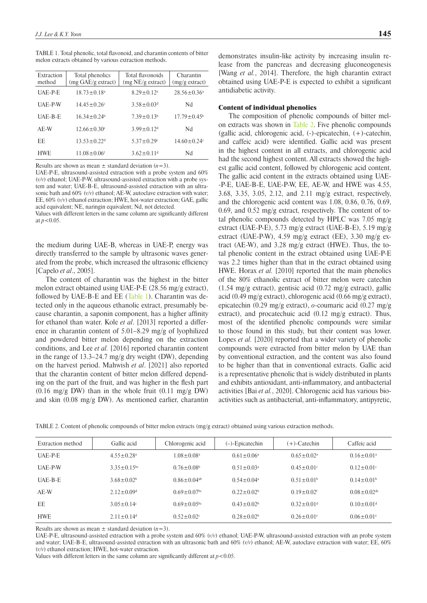<span id="page-4-0"></span>

|                                                        |  | TABLE 1. Total phenolic, total flavonoid, and charantin contents of bitter |
|--------------------------------------------------------|--|----------------------------------------------------------------------------|
| melon extracts obtained by various extraction methods. |  |                                                                            |

| Extraction<br>method | Total phenolics<br>$(mg \text{ } GAE/g \text{ } extract)$ | Total flavonoids<br>(mg NE/g extract) | Charantin<br>$(mg/g$ extract) |
|----------------------|-----------------------------------------------------------|---------------------------------------|-------------------------------|
| <b>IJAE-P-E</b>      | $18.73 \pm 0.18^a$                                        | $829+012a$                            | $28.56 \pm 0.36^a$            |
| UAE-P-W              | $14.45 \pm 0.26$ <sup>c</sup>                             | $3.58 \pm 0.03$ <sup>d</sup>          | Nd                            |
| <b>IJAE-B-E</b>      | $1634+0.24b$                                              | $739+013b$                            | $17.79 \pm 0.45^{\circ}$      |
| AE-W                 | $12.66 \pm 0.30^{\circ}$                                  | $3.99 + 0.12d$                        | Nd                            |
| FF.                  | $13.53 + 0.22$ <sup>d</sup>                               | $5.37 + 0.29$                         | $14.60 \pm 0.24$ c            |
| <b>HWE</b>           | $11.08 + 0.06$ <sup>f</sup>                               | $3.62 + 0.11d$                        | Nd                            |

Results are shown as mean  $\pm$  standard deviation  $(n=3)$ .

UAE-P-E, ultrasound-assisted extraction with a probe system and 60% (*v/v*) ethanol; UAE-P-W, ultrasound-assisted extraction with a probe system and water; UAE-B-E, ultrasound-assisted extraction with an ultrasonic bath and 60% (*v/v*) ethanol; AE-W, autoclave extraction with water; EE, 60% (*v/v*) ethanol extraction; HWE, hot-water extraction; GAE, gallic acid equivalent; NE, naringin equivalent; Nd, not detected.

Values with different letters in the same column are significantly different at  $p < 0.05$ .

the medium during UAE-B, whereas in UAE-P, energy was directly transferred to the sample by ultrasonic waves generated from the probe, which increased the ultrasonic efficiency [Capelo *et al*., 2005].

The content of charantin was the highest in the bitter melon extract obtained using UAE-P-E (28.56 mg/g extract), followed by UAE-B-E and EE [\(Table 1\)](#page-4-0). Charantin was detected only in the aqueous ethanolic extract, presumably because charantin, a saponin component, has a higher affinity for ethanol than water. Kole *et al*. [2013] reported a difference in charantin content of 5.01–8.29 mg/g of lyophilized and powdered bitter melon depending on the extraction conditions, and Lee *et al.* [2016] reported charantin content in the range of 13.3–24.7 mg/g dry weight (DW), depending on the harvest period. Mahwish *et al*. [2021] also reported that the charantin content of bitter melon differed depending on the part of the fruit, and was higher in the flesh part  $(0.16 \text{ mg/g DW})$  than in the whole fruit  $(0.11 \text{ mg/g DW})$ and skin (0.08 mg/g DW). As mentioned earlier, charantin

#### Content of individual phenolics

The composition of phenolic compounds of bitter melon extracts was shown in [Table 2](#page-4-1). Five phenolic compounds (gallic acid, chlorogenic acid, (-)-epicatechin, (+)-catechin, and caffeic acid) were identified. Gallic acid was present in the highest content in all extracts, and chlorogenic acid had the second highest content. All extracts showed the highest gallic acid content, followed by chlorogenic acid content. The gallic acid content in the extracts obtained using UAE- -P-E, UAE-B-E, UAE-P-W, EE, AE-W, and HWE was 4.55, 3.68, 3.35, 3.05, 2.12, and 2.11 mg/g extract, respectively, and the chlorogenic acid content was 1.08, 0.86, 0.76, 0.69, 0.69, and 0.52 mg/g extract, respectively. The content of total phenolic compounds detected by HPLC was 7.05 mg/g extract (UAE-P-E), 5.73 mg/g extract (UAE-B-E), 5.19 mg/g extract (UAE-P-W), 4.59 mg/g extract (EE), 3.30 mg/g extract (AE-W), and 3.28 mg/g extract (HWE). Thus, the total phenolic content in the extract obtained using UAE-P-E was 2.2 times higher than that in the extract obtained using HWE. Horax *et al.* [2010] reported that the main phenolics of the 80% ethanolic extract of bitter melon were catechin (1.54 mg/g extract), gentisic acid (0.72 mg/g extract), gallic acid (0.49 mg/g extract), chlorogenic acid (0.66 mg/g extract), epicatechin (0.29 mg/g extract), *o*-coumaric acid (0.27 mg/g extract), and procatechuic acid (0.12 mg/g extract). Thus, most of the identified phenolic compounds were similar to those found in this study, but their content was lower. Lopes *et al.* [2020] reported that a wider variety of phenolic compounds were extracted from bitter melon by UAE than by conventional extraction, and the content was also found to be higher than that in conventional extracts. Gallic acid is a representative phenolic that is widely distributed in plants and exhibits antioxidant, anti-inflammatory, and antibacterial activities [Bai *et al.*, 2020]. Chlorogenic acid has various bioactivities such as antibacterial, anti-inflammatory, antipyretic,

<span id="page-4-1"></span>TABLE 2. Content of phenolic compounds of bitter melon extracts (mg/g extract) obtained using various extraction methods.

| Extraction method | Gallic acid                   | Chlorogenic acid             | $(-)$ -Epicatechin         | (+)-Catechin                 | Caffeic acid                 |
|-------------------|-------------------------------|------------------------------|----------------------------|------------------------------|------------------------------|
| UAE-P-E           | $4.55 \pm 0.28$ <sup>a</sup>  | $1.08 \pm 0.08$ <sup>a</sup> | $0.61 \pm 0.06^a$          | $0.65 \pm 0.02$ <sup>a</sup> | $0.16 \pm 0.01$ <sup>a</sup> |
| <b>UAE-P-W</b>    | $3.35 \pm 0.15$ <sup>bc</sup> | $0.76 \pm 0.08^b$            | $0.51 \pm 0.03^{\circ}$    | $0.45 \pm 0.01$ °            | $0.12+0.01c$                 |
| <b>UAE-B-E</b>    | $3.68 \pm 0.02^b$             | $0.86 + 0.04$ <sup>ab</sup>  | $0.54 + 0.04$ <sup>a</sup> | $0.51 + 0.01b$               | $0.14+0.01b$                 |
| AE-W              | $2.12 \pm 0.09$ <sup>d</sup>  | $0.69 + 0.07$                | $0.22 \pm 0.02^b$          | $0.19 \pm 0.02$ <sup>f</sup> | $0.08 + 0.02$ <sup>de</sup>  |
| EE.               | $3.05 \pm 0.14$ °             | $0.69 + 0.05$                | $0.43 \pm 0.02^b$          | $0.32 \pm 0.01$ <sup>d</sup> | $0.10 \pm 0.01$ <sup>d</sup> |
| <b>HWE</b>        | $2.11 \pm 0.14$ <sup>d</sup>  | $0.52 \pm 0.02$              | $0.28 \pm 0.02^b$          | $0.26 \pm 0.01$ <sup>e</sup> | $0.06 \pm 0.01$ <sup>e</sup> |

Results are shown as mean  $\pm$  standard deviation  $(n=3)$ .

UAE-P-E, ultrasound-assisted extraction with a probe system and 60% (*v/v*) ethanol; UAE-P-W, ultrasound-assisted extraction with an probe system and water; UAE-B-E, ultrasound-assisted extraction with an ultrasonic bath and 60% (*v/v*) ethanol; AE-W, autoclave extraction with water; EE, 60% (*v/v*) ethanol extraction; HWE, hot-water extraction.

Values with different letters in the same column are significantly different at  $p < 0.05$ .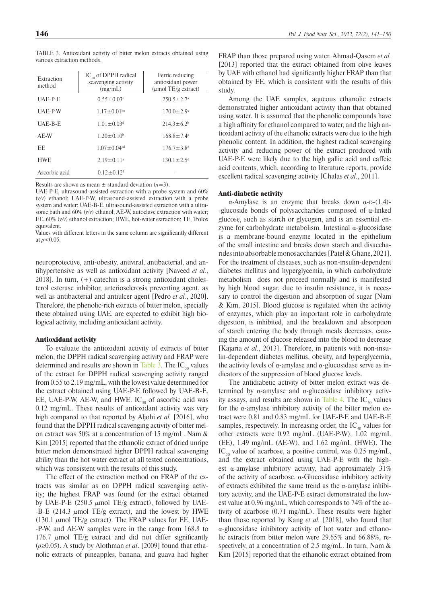<span id="page-5-0"></span>TABLE 3. Antioxidant activity of bitter melon extracts obtained using various extraction methods.

| Extraction<br>method | $IC_{\rm so}$ of DPPH radical<br>scavenging activity<br>(mg/mL) | Ferric reducing<br>antioxidant power<br>$(\mu \text{mol TE/g extract})$ |
|----------------------|-----------------------------------------------------------------|-------------------------------------------------------------------------|
| <b>UAE-P-E</b>       | $0.55 \pm 0.03$ <sup>e</sup>                                    | $250.5 \pm 2.7$ <sup>a</sup>                                            |
| <b>UAE-P-W</b>       | $1.17 \pm 0.01$ <sup>bc</sup>                                   | $170.0 \pm 2.9$ <sup>c</sup>                                            |
| <b>IJAE-B-E</b>      | $1.01 \pm 0.03$ <sup>d</sup>                                    | $214.3 \pm 6.2^b$                                                       |
| AE-W                 | $1.20 \pm 0.10^b$                                               | $168.8 \pm 7.4$                                                         |
| EF.                  | $1.07 \pm 0.04$ <sup>cd</sup>                                   | $176.7 \pm 3.8$ <sup>c</sup>                                            |
| <b>HWE</b>           | $2.19 \pm 0.11$ <sup>a</sup>                                    | $130.1 \pm 2.5$ <sup>d</sup>                                            |
| Ascorbic acid        | $0.12 \pm 0.12$ <sup>f</sup>                                    |                                                                         |

Results are shown as mean  $\pm$  standard deviation ( $n=3$ ).

UAE-P-E, ultrasound-assisted extraction with a probe system and 60% (*v/v*) ethanol; UAE-P-W, ultrasound-assisted extraction with a probe system and water; UAE-B-E, ultrasound-assisted extraction with a ultrasonic bath and 60% (*v/v*) ethanol; AE-W, autoclave extraction with water; EE, 60% (*v/v*) ethanol extraction; HWE, hot-water extraction; TE, Trolox equivalent.

Values with different letters in the same column are significantly different at  $p < 0.05$ .

neuroprotective, anti-obesity, antiviral, antibacterial, and antihypertensive as well as antioxidant activity [Naveed *et al*., 2018]. In turn, (+)-catechin is a strong antioxidant cholesterol esterase inhibitor, arteriosclerosis preventing agent, as well as antibacterial and antiulcer agent [Pedro *et al.*, 2020]. Therefore, the phenolic-rich extracts of bitter melon, specially these obtained using UAE, are expected to exhibit high biological activity, including antioxidant activity.

### Antioxidant activity

To evaluate the antioxidant activity of extracts of bitter melon, the DPPH radical scavenging activity and FRAP were determined and results are shown in [Table 3](#page-5-0). The  $IC_{50}$  values of the extract for DPPH radical scavenging activity ranged from 0.55 to 2.19 mg/mL, with the lowest value determined for the extract obtained using UAE-P-E followed by UAE-B-E, EE, UAE-P-W, AE-W, and HWE.  $IC_{s0}$  of ascorbic acid was 0.12 mg/mL. These results of antioxidant activity was very high compared to that reported by Aljohi *et al.* [2016], who found that the DPPH radical scavenging activity of bitter melon extract was 50% at a concentration of 15 mg/mL. Nam & Kim [2015] reported that the ethanolic extract of dried unripe bitter melon demonstrated higher DPPH radical scavenging ability than the hot water extract at all tested concentrations, which was consistent with the results of this study.

The effect of the extraction method on FRAP of the extracts was similar as on DPPH radical scavenging activity; the highest FRAP was found for the extract obtained by UAE-P-E (250.5  $\mu$ mol TE/g extract), followed by UAE--B-E (214.3  $\mu$ mol TE/g extract), and the lowest by HWE (130.1  $\mu$ mol TE/g extract). The FRAP values for EE, UAE--P-W, and AE-W samples were in the range from 168.8 to 176.7  $\mu$ mol TE/g extract and did not differ significantly (*p*≥0.05). A study by Alothman *et al*. [2009] found that ethanolic extracts of pineapples, banana, and guava had higher

FRAP than those prepared using water. Ahmad-Qasem *et al.* [2013] reported that the extract obtained from olive leaves by UAE with ethanol had significantly higher FRAP than that obtained by EE, which is consistent with the results of this study.

Among the UAE samples, aqueous ethanolic extracts demonstrated higher antioxidant activity than that obtained using water. It is assumed that the phenolic compounds have a high affinity for ethanol compared to water, and the high antioxidant activity of the ethanolic extracts were due to the high phenolic content. In addition, the highest radical scavenging activity and reducing power of the extract produced with UAE-P-E were likely due to the high gallic acid and caffeic acid contents, which, according to literature reports, provide excellent radical scavenging activity [Chalas *et al.*, 2011].

### Anti-diabetic activity

α-Amylase is an enzyme that breaks down  $α$ -D-(1,4)--glucoside bonds of polysaccharides composed of  $\alpha$ -linked glucose, such as starch or glycogen, and is an essential enzyme for carbohydrate metabolism. Intestinal α-glucosidase is a membrane-bound enzyme located in the epithelium of the small intestine and breaks down starch and disaccharides into absorbable monosaccharides [Patel & Ghane, 2021]. For the treatment of diseases, such as non-insulin-dependent diabetes mellitus and hyperglycemia, in which carbohydrate metabolism does not proceed normally and is manifested by high blood sugar, due to insulin resistance, it is necessary to control the digestion and absorption of sugar [Nam & Kim, 2015]. Blood glucose is regulated when the activity of enzymes, which play an important role in carbohydrate digestion, is inhibited, and the breakdown and absorption of starch entering the body through meals decreases, causing the amount of glucose released into the blood to decrease [Kajaria et al., 2013]. Therefore, in patients with non-insulin-dependent diabetes mellitus, obesity, and hyperglycemia, the activity levels of α-amylase and α-glucosidase serve as indicators of the suppression of blood glucose levels.

The antidiabetic activity of bitter melon extract was determined by  $\alpha$ -amylase and  $\alpha$ -glucosidase inhibitory activ-ity assays, and results are shown in [Table 4](#page-6-0). The  $IC_{50}$  values for the  $\alpha$ -amylase inhibitory activity of the bitter melon extract were 0.81 and 0.83 mg/mL for UAE-P-E and UAE-B-E samples, respectively. In increasing order, the  $IC_{50}$  values for other extracts were 0.92 mg/mL (UAE-P-W), 1.02 mg/mL (EE), 1.49 mg/mL (AE-W), and 1.62 mg/mL (HWE). The  $IC_{50}$  value of acarbose, a positive control, was 0.25 mg/mL, and the extract obtained using UAE-P-E with the highest α-amylase inhibitory activity, had approximately 31% of the activity of acarbose. α-Glucosidase inhibitory activity of extracts exhibited the same trend as the α-amylase inhibitory activity, and the UAE-P-E extract demonstrated the lowest value at 0.96 mg/mL, which corresponds to 74% of the activity of acarbose (0.71 mg/mL). These results were higher than those reported by Kang *et al.* [2018], who found that α-glucosidase inhibitory activity of hot water and ethanolic extracts from bitter melon were 29.65% and 66.88%, respectively, at a concentration of 2.5 mg/mL. In turn, Nam & Kim [2015] reported that the ethanolic extract obtained from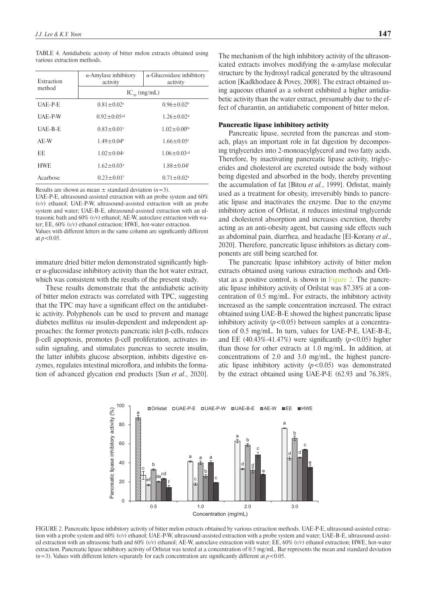| $\alpha$ -Amylase inhibitory<br>activity | $\alpha$ -Glucosidase inhibitory<br>activity |  |  |
|------------------------------------------|----------------------------------------------|--|--|
| $IC_{so}$ (mg/mL)                        |                                              |  |  |
| $0.81 \pm 0.02$ <sup>e</sup>             | $0.96 \pm 0.02^b$                            |  |  |
| $0.92 \pm 0.05$ <sup>cd</sup>            | $1.26 \pm 0.02$ <sup>d</sup>                 |  |  |
| $0.83 \pm 0.01$ <sup>e</sup>             | $1.02 \pm 0.00$ <sup>bc</sup>                |  |  |
| $1.49 \pm 0.04^b$                        | $1.66 + 0.05$ <sup>e</sup>                   |  |  |
| $1.02 \pm 0.04$ c                        | $1.06 \pm 0.03$ <sup>cd</sup>                |  |  |
| $1.62 \pm 0.03$ <sup>a</sup>             | $1.88 \pm 0.04$ <sup>f</sup>                 |  |  |
|                                          |                                              |  |  |

<span id="page-6-0"></span>TABLE 4. Antidiabetic activity of bitter melon extracts obtained using various extraction methods.

Results are shown as mean  $\pm$  standard deviation  $(n=3)$ .

Acarbose  $0.23 \pm 0.01$ <sup>f</sup>  $0.71 \pm 0.02$ <sup>a</sup>

UAE-P-E, ultrasound-assisted extraction with an probe system and 60% (*v/v*) ethanol; UAE-P-W, ultrasound-assisted extraction with an probe system and water; UAE-B-E, ultrasound-assisted extraction with an ultrasonic bath and 60% (*v/v*) ethanol; AE-W, autoclave extraction with water; EE, 60% (*v/v*) ethanol extraction; HWE, hot-water extraction. Values with different letters in the same column are significantly different at  $p < 0.05$ .

immature dried bitter melon demonstrated significantly higher  $\alpha$ -glucosidase inhibitory activity than the hot water extract, which was consistent with the results of the present study.

These results demonstrate that the antidiabetic activity of bitter melon extracts was correlated with TPC, suggesting that the TPC may have a significant effect on the antidiabetic activity. Polyphenols can be used to prevent and manage diabetes mellitus *via* insulin-dependent and independent approaches: the former protects pancreatic islet β-cells, reduces β-cell apoptosis, promotes β-cell proliferation, activates insulin signaling, and stimulates pancreas to secrete insulin, the latter inhibits glucose absorption, inhibits digestive enzymes, regulates intestinal microflora, and inhibits the formation of advanced glycation end products [Sun *et al.*, 2020].

The mechanism of the high inhibitory activity of the ultrasonicated extracts involves modifying the  $\alpha$ -amylase molecular structure by the hydroxyl radical generated by the ultrasound action [Kadkhodaee & Povey, 2008]. The extract obtained using aqueous ethanol as a solvent exhibited a higher antidiabetic activity than the water extract, presumably due to the effect of charantin, an antidiabetic component of bitter melon.

### Pancreatic lipase inhibitory activity

Pancreatic lipase, secreted from the pancreas and stomach, plays an important role in fat digestion by decomposing triglycerides into 2-monoacylglycerol and two fatty acids. Therefore, by inactivating pancreatic lipase activity, triglycerides and cholesterol are excreted outside the body without being digested and absorbed in the body, thereby preventing the accumulation of fat [Bitou *et al.*, 1999]. Orlistat, mainly used as a treatment for obesity, irreversibly binds to pancreatic lipase and inactivates the enzyme. Due to the enzyme inhibitory action of Orlistat, it reduces intestinal triglyceride and cholesterol absorption and increases excretion, thereby acting as an anti-obesity agent, but causing side effects such as abdominal pain, diarrhea, and headache [El-Korany *et al*., 2020]. Therefore, pancreatic lipase inhibitors as dietary components are still being searched for.

The pancreatic lipase inhibitory activity of bitter melon extracts obtained using various extraction methods and Orlistat as a positive control, is shown in [Figure 2.](#page-6-1) The pancreatic lipase inhibitory activity of Orilstat was 87.38% at a concentration of 0.5 mg/mL. For extracts, the inhibitory activity increased as the sample concentration increased. The extract obtained using UAE-B-E showed the highest pancreatic lipase inhibitory activity  $(p<0.05)$  between samples at a concentration of 0.5 mg/mL. In turn, values for UAE-P-E, UAE-B-E, and EE  $(40.43\% - 41.47\%)$  were significantly  $(p<0.05)$  higher than those for other extracts at 1.0 mg/mL. In addition, at concentrations of 2.0 and 3.0 mg/mL, the highest pancreatic lipase inhibitory activity  $(p<0.05)$  was demonstrated by the extract obtained using UAE-P-E (62.93 and 76.38%,

<span id="page-6-1"></span>

FIGURE 2. Pancreatic lipase inhibitory activity of bitter melon extracts obtained by various extraction methods. UAE-P-E, ultrasound-assisted extraction with a probe system and 60% (*v/v*) ethanol; UAE-P-W, ultrasound-assisted extraction with a probe system and water; UAE-B-E, ultrasound-assisted extraction with an ultrasonic bath and 60% (*v/v*) ethanol; AE-W, autoclave extraction with water; EE, 60% (*v/v*) ethanol extraction; HWE, hot-water extraction. Pancreatic lipase inhibitory activity of Orlistat was tested at a concentration of 0.5 mg/mL. Bar represents the mean and standard deviation  $(n=3)$ . Values with different letters separately for each concentration are significantly different at  $p < 0.05$ .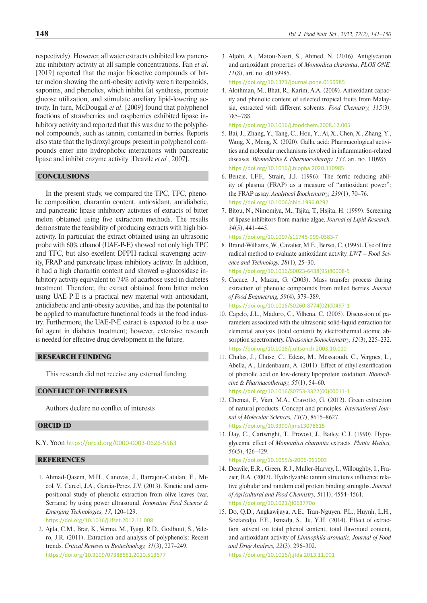respectively). However, all water extracts exhibited low pancreatic inhibitory activity at all sample concentrations. Fan *et al*. [2019] reported that the major bioactive compounds of bitter melon showing the anti-obesity activity were triterpenoids, saponins, and phenolics, which inhibit fat synthesis, promote glucose utilization, and stimulate auxiliary lipid-lowering activity. In turn, McDougall *et al*. [2009] found that polyphenol fractions of strawberries and raspberries exhibited lipase inhibitory activity and reported that this was due to the polyphenol compounds, such as tannin, contained in berries. Reports also state that the hydroxyl groups present in polyphenol compounds enter into hydrophobic interactions with pancreatic lipase and inhibit enzyme activity [Deavile *et al.*, 2007].

## **CONCLUSIONS**

In the present study, we compared the TPC, TFC, phenolic composition, charantin content, antioxidant, antidiabetic, and pancreatic lipase inhibitory activities of extracts of bitter melon obtained using five extraction methods. The results demonstrate the feasibility of producing extracts with high bioactivity. In particular, the extract obtained using an ultrasonic probe with 60% ethanol (UAE-P-E) showed not only high TPC and TFC, but also excellent DPPH radical scavenging activity, FRAP and pancreatic lipase inhibitory activity. In addition, it had a high charantin content and showed α-glucosidase inhibitory activity equivalent to 74% of acarbose used in diabetes treatment. Therefore, the extract obtained from bitter melon using UAE-P-E is a practical new material with antioxidant, antidiabetic and anti-obesity activities, and has the potential to be applied to manufacture functional foods in the food industry. Furthermore, the UAE-P-E extract is expected to be a useful agent in diabetes treatment; however, extensive research is needed for effective drug development in the future.

# RESEARCH FUNDING

This research did not receive any external funding.

## CONFLICT OF INTERESTS

Authors declare no conflict of interests

### ORCID ID

K.Y. Yoon <https://orcid.org/0000-0003-0626-5563>

## **REFERENCES**

- 1. Ahmad-Qasem, M.H., Canovas, J., Barrajon-Catalan, E., Micol, V., Carcel, J.A., Garcia-Perez, J.V. (2013). Kinetic and compositional study of phenolic extraction from olive leaves (var. Serrana) by using power ultrasound. *Innovative Food Science & Emerging Technologies, 17*, 120–129. <https://doi.org/10.1016/j.ifset.2012.11.008>
	-
- 2. Ajila, C.M., Brar, K., Verma, M., Tyagi, R.D., Godbout, S., Valero, J.R. (2011). Extraction and analysis of polyphenols: Recent trends. *Critical Reviews in Biotechnology, 31*(3), 227–249. <https://doi.org/10.3109/07388551.2010.513677>
- 3. Aljohi, A., Matou-Nasri, S., Ahmed, N. (2016). Antiglycation and antioxidant properties of *Momordica charantia*. *PLOS ONE, 11*(8), art. no. e0159985. <https://doi.org/10.1371/journal.pone.0159985>
- 4. Alothman, M., Bhat, R., Karim, A.A. (2009). Antioxidant capacity and phenolic content of selected tropical fruits from Malaysia, extracted with different solvents. *Food Chemistry, 115*(3*),* 785–788.

<https://doi.org/10.1016/j.foodchem.2008.12.005>

- 5. Bai, J., Zhang, Y., Tang, C., Hou, Y., Ai, X., Chen, X., Zhang, Y., Wang, X., Meng, X. (2020). Gallic acid: Pharmacological activities and molecular mechanisms involved in inflammation-related diseases. *[Biomedicine & Pharmacotherapy,](https://www.sciencedirect.com/journal/biomedicine-and-pharmacotherapy) 133*, art. no. 110985. <https://doi.org/10.1016/j.biopha.2020.110985>
- 6. Benzie, I.F.F., Strain, J.J. (1996). The ferric reducing ability of plasma (FRAP) as a measure of ''antioxidant power'': the FRAP assay. *Analytical Biochemistry, 239*(1), 70–76. <https://doi.org/10.1006/abio.1996.0292>
- 7. Bitou, N., Nimomiya, M., Tsjita, T., Hsjita, H. (1999). Screening of lipase inhibitors from marine algae. *Journal of Lipid Research, 34*(5), 441–445.

<https://doi.org/10.1007/s11745-999-0383-7> 8. Brand-Williams, W., Cavalier, M.E., Berset, C. (1995). Use of free radical method to evaluate antioxidant activity. *LWT – Food Sci-*

*ence and Technology, 28*(1), 25–30. [https://doi.org/10.1016/S0023-6438\(95\)80008-5](https://doi.org/10.1016/S0023-6438(95)80008-5)

- 9. Cacace, J., Mazza, G. (2003). Mass transfer process during extraction of phenolic compounds from milled berries. *Journal of Food Engineering, 59*(4)*,* 379–389. [https://doi.org/10.1016/S0260-8774\(02\)00497-1](https://doi.org/10.1016/S0260-8774(02)00497-1)
- 10. Capelo, J.L., Maduro, C., Vilhena, C. (2005). Discussion of parameters associated with the ultrasonic solid-liquid extraction for elemental analysis (total content) by electrothermal atomic absorption spectrometry. *Ultrasonics Sonochemistry, 12*(3), 225–232. <https://doi.org/10.1016/j.ultsonch.2003.10.010>
- 11. Chalas, J., Claise, C., Edeas, M., Messaoudi, C., Vergnes, L., Abella, A., Lindenbaum, A. (2011). Effect of ethyl esterification of phenolic acid on low-density lipoprotein oxidation. *Biomedicine & Pharmacotherapy, 55*(1), 54–60. [https://doi.org/10.1016/S0753-3322\(00\)00011-1](https://doi.org/10.1016/S0753-3322(00)00011-1)
- 12. Chemat, F., Vian, M.A., Cravotto, G. (2012). Green extraction of natural products: Concept and principles. *International Journal of Molecular Sciences, 13*(7), 8615–8627. <https://doi.org/10.3390/ijms13078615>
- 13. Day, C., Cartwright, T., Provost, J., Bailey, C.J. (1990). Hypoglycemic effect of *Momordica charantia* extracts. *Planta Medica, 56*(5), 426–429.

<https://doi.org/10.1055/s-2006-961003>

- 14. Deavile, E.R., Green, R.J., Muller-Harvey, I., Willoughby, I., Frazier, R.A. (2007). Hydrolyzable tannin structures influence relative globular and random coil protein binding strengths. *Journal of Agricultural and Food Chemistry, 5*(11), 4554–4561. <https://doi.org/10.1021/jf063770o>
- 15. Do, Q.D., Angkawijaya, A.E., Tran-Nguyen, P.L., Huynh, L.H., Soetaredjo, F.E., Ismadji, S., Ju, Y.H. (2014). Effect of extraction solvent on total phenol content, total flavonoid content, and antioxidant activity of *Limnophila aromatic. Journal of Food and Drug Analysis, 22*(3), 296–302. <https://doi.org/10.1016/j.jfda.2013.11.001>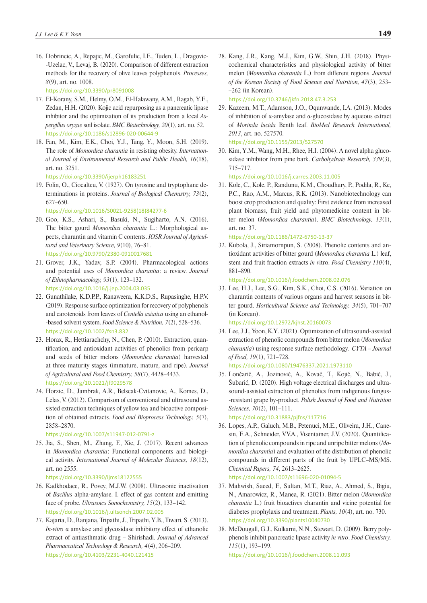16. Dobrincic, A., Repajic, M., Garofulic, I.E., Tuden, L., Dragovic- -Uzelac, V., Levaj, B. (2020). Comparison of different extraction methods for the recovery of olive leaves polyphenols. *Processes, 8*(9), art. no. 1008.

<https://doi.org/10.3390/pr8091008>

- 17. El-Korany, S.M., Helmy, O.M., El-Halawany, A.M., Ragab, Y.E., Zedan, H.H. (2020). Kojic acid repurposing as a pancreatic lipase inhibitor and the optimization of its production from a local *Aspergillus oryzae* soil isolate. *BMC Biotechnology, 20*(1), art. no. 52. <https://doi.org/10.1186/s12896-020-00644-9>
- 18. Fan, M., Kim, E.K., Choi, Y.J., Tang, Y., Moon, S.H. (2019). The role of *Momordica charantia* in resisting obesity. *International Journal of Environmental Research and Public Health, 16*(18), art. no. 3251.

<https://doi.org/10.3390/ijerph16183251>

19. Folin, O., Ciocalteu, V. (1927). On tyrosine and tryptophane determinations in proteins. *Journal of Biological Chemistry, 73*(2), 627–650.

[https://doi.org/10.1016/S0021-9258\(18\)84277-6](https://doi.org/10.1016/S0021-9258(18)84277-6)

- 20. Goo, K.S., Ashari, S., Basuki, N., Sugiharto, A.N. (2016). The bitter gourd *Momordica charantia* L.: Morphological aspects, charantin and vitamin C contents. *IOSR Journal of Agricultural and Veterinary Science, 9*(10), 76–81. <https://doi.org/10.9790/2380-0910017681>
- 21. Grover, J.K., Yadav, S.P. (2004). Pharmacological actions and potential uses of *Momordica charantia*: a review. *Journal of Ethnopharmacology, 93*(1), 123–132. <https://doi.org/10.1016/j.jep.2004.03.035>
- 22. Gunathilake, K.D.P.P., Ranaweera, K.K.D.S., Rupasinghe, H.P.V. (2019). Response surface optimization for recovery of polyphenols and carotenoids from leaves of *Centella asiatica* using an ethanol- -based solvent system. *Food Science & Nutrition, 7*(2), 528–536. <https://doi.org/10.1002/fsn3.832>
- 23. Horax, R., Hettiarachchy, N., Chen, P. (2010). Extraction, quantification, and antioxidant activities of phenolics from pericarp and seeds of bitter melons (*Momordica charantia*) harvested at three maturity stages (immature, mature, and ripe). *Journal of Agricultural and Food Chemistry, 58*(7), 4428–4433. <https://doi.org/10.1021/jf9029578>
- 24. Horzic, D., Jambrak, A.R., Belscak-Cvitanovic, A., Komes, D., Lelas, V. (2012). Comparison of conventional and ultrasound assisted extraction techniques of yellow tea and bioactive composition of obtained extracts. *Food and Bioprocess Technology, 5*(7), 2858–2870.

<https://doi.org/10.1007/s11947-012-0791-z>

25. Jia, S., Shen, M., Zhang, F., Xie, J. (2017). Recent advances in *Momordica charantia*: Functional components and biological activity. *International Journal of Molecular Sciences, 18*(12), art. no 2555.

<https://doi.org/10.3390/ijms18122555>

- 26. Kadkhodaee, R., Povey, M.J.W. (2008). Ultrasonic inactivation of *Bacillus* alpha-amylase. I. effect of gas content and emitting face of probe. *Ultrasoics Sonochemistry, 15*(2), 133–142. <https://doi.org/10.1016/j.ultsonch.2007.02.005>
- 27. Kajaria, D., Ranjana, Tripathi, J., Tripathi, Y.B., Tiwari, S. (2013). *In-vitro* α amylase and glycosidase inhibitory effect of ethanolic extract of antiasthmatic drug – Shirishadi. *Journal of Advanced Pharmaceutical Technology & Research, 4*(4), 206–209. <https://doi.org/10.4103/2231-4040.121415>

28. Kang, J.R., Kang, M.J., Kim, G.W., Shin, J.H. (2018). Physicochemical characteristics and physiological activity of bitter melon (*Momordica charantia* L.) from different regions. *Journal of the Korean Society of Food Science and Nutrition, 47*(3), 253– –262 (in Korean).

<https://doi.org/10.3746/jkfn.2018.47.3.253>

29. Kazeem, M.T., Adamson, J.O., Oqunwande, I.A. (2013). Modes of inhibition of α-amylase and α-glucosidase by aqueous extract of *Morinda lucida* Benth leaf. *[BioMed Research International,](https://www.hindawi.com/journals/bmri/) 2013*, art. no. 527570.

<https://doi.org/10.1155/2013/527570>

30. Kim, Y.M., Wang, M.H., Rhee, H.I. (2004). A novel alpha glucosidase inhibitor from pine bark. *Carbohydrate Research, 339*(3), 715–717.

<https://doi.org/10.1016/j.carres.2003.11.005>

31. Kole, C., Kole, P., Randunu, K.M., Choudhary, P., Podila, R., Ke, P.C., Rao, A.M., Marcus, R.K. (2013). Nanobiotechnology can boost crop production and quality: First evidence from increased plant biomass, fruit yield and phytomedicine content in bitter melon (*Momordica charantia*). *BMC Biotechnology, 13*(1), art. no. 37.

<https://doi.org/10.1186/1472-6750-13-37>

32. Kubola, J., Siriamornpun, S. (2008). Phenolic contents and antioxidant activities of bitter gourd (*Momordica charantia* L.) leaf, stem and fruit fraction extracts *in v*itro. *Food Chemistry 110*(4), 881–890.

<https://doi.org/10.1016/j.foodchem.2008.02.076>

33. Lee, H.J., Lee, S.G., Kim, S.K., Choi, C.S. (2016). Variation on charantin contents of various organs and harvest seasons in bitter gourd. *Horticultural Science and Technology, 34*(5), 701–707 (in Korean).

<https://doi.org/10.12972/kjhst.20160073>

- 34. Lee, J.J., Yoon, K.Y. (2021). Optimization of ultrasound-assisted extraction of phenolic compounds from bitter melon (*Momordica charantia*) using response surface methodology. *CYTA – Journal of Food, 19*(1), 721–728. <https://doi.org/10.1080/19476337.2021.1973110>
- 35. Lončarić, A., Jozinović, A., Kovač, T., Kojić, N., Babić, J., Šubarić, D. (2020). High voltage electrical discharges and ultrasound-assisted extraction of phenolics from indigenous fungus- -resistant grape by-product. *Polish Journal of Food and Nutrition Sciences, 70*(2), 101–111.

<https://doi.org/10.31883/pjfns/117716>

36. Lopes, A.P., Galuch, M.B., Petenuci, M.E., Oliveira, J.H., Canesin, E.A., Schneider, V.V.A., Visentainer, J.V. (2020). Quantification of phenolic compounds in ripe and unripe bitter melons (*Momordica charantia*) and evaluation of the distribution of phenolic compounds in different parts of the fruit by UPLC–MS/MS. *Chemical Papers, 74*, 2613–2625. <https://doi.org/10.1007/s11696-020-01094-5>

37. Mahwish, Saeed, F., Sultan, M.T., Riaz, A., Ahmed, S., Bigiu, N., Amarowicz, R., Manea, R. (2021). Bitter melon (*Momordica charantia* L.) fruit bioactives charantin and vicine potential for diabetes prophylaxis and treatment. *Plants, 10*(4), art. no. 730.

<https://doi.org/10.3390/plants10040730>

38. McDougall, G.J., Kulkarni, N.N., Stewart, D. (2009). Berry polyphenols inhibit pancreatic lipase activity *in vitro*. *Food Chemistry, 115*(1), 193–199.

<https://doi.org/10.1016/j.foodchem.2008.11.093>